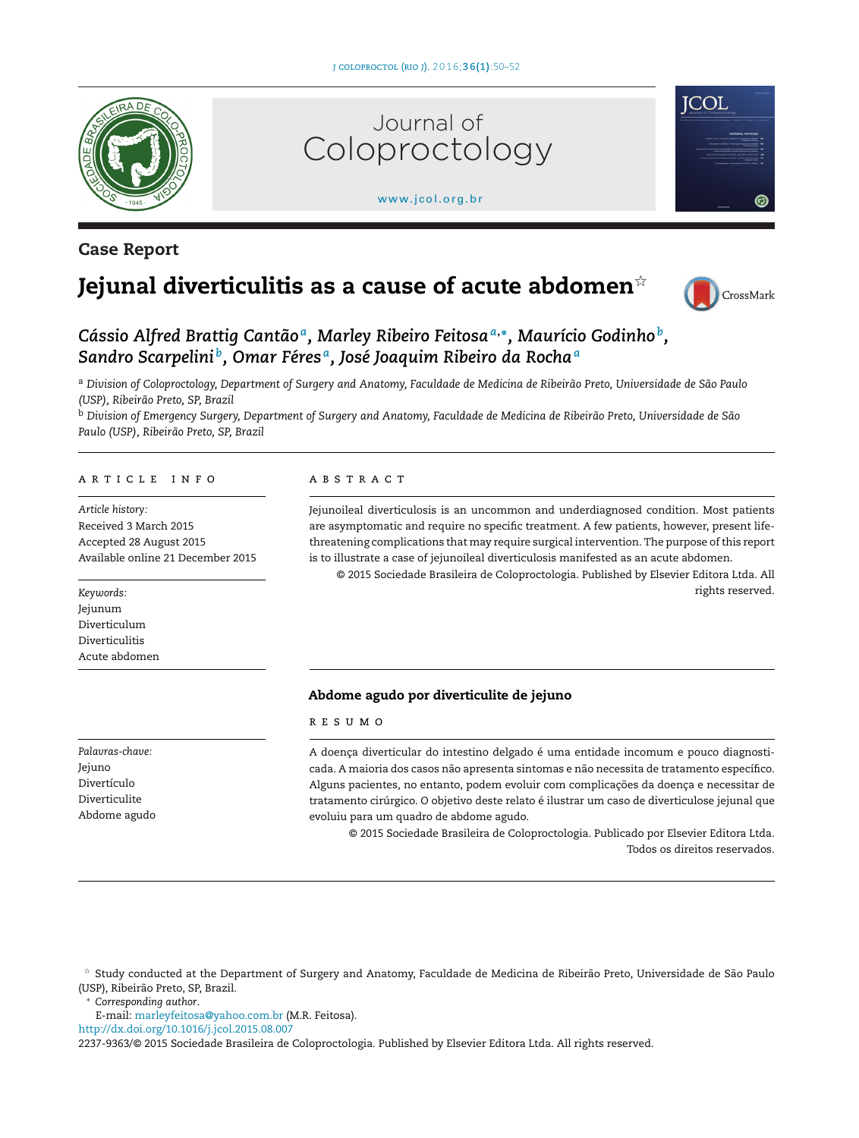

# **Case Report**



#### [www.jcol.org.br](http://www.jcol.org.br)



# **Jejunal diverticulitis as a cause of acute abdomen**-



*Cássio Alfred Brattig Cantão a, Marley Ribeiro Feitosa<sup>a</sup>***,∗***, Maurício Godinho b, Sandro Scarpelini b, Omar Féres a, José Joaquim Ribeiro da Rocha<sup>a</sup>*

a Division of Coloproctology, Department of Surgery and Anatomy, Faculdade de Medicina de Ribeirão Preto, Universidade de São Paulo *(USP), Ribeirão Preto, SP, Brazil*

<sup>b</sup> Division of Emergency Surgery, Department of Surgery and Anatomy, Faculdade de Medicina de Ribeirão Preto, Universidade de São *Paulo (USP), Ribeirão Preto, SP, Brazil*

#### ARTICLE INFO

*Article history:* Received 3 March 2015 Accepted 28 August 2015 Available online 21 December 2015

*Keywords:* Jejunum Diverticulum Diverticulitis Acute abdomen A B S T R A C T

Jejunoileal diverticulosis is an uncommon and underdiagnosed condition. Most patients are asymptomatic and require no specific treatment. A few patients, however, present lifethreatening complications that may require surgical intervention. The purpose ofthis report is to illustrate a case of jejunoileal diverticulosis manifested as an acute abdomen.

© 2015 Sociedade Brasileira de Coloproctologia. Published by Elsevier Editora Ltda. All rights reserved.

#### **Abdome agudo por diverticulite de jejuno**

#### r e s u m o

A doença diverticular do intestino delgado é uma entidade incomum e pouco diagnosticada. A maioria dos casos não apresenta sintomas e não necessita de tratamento específico. Alguns pacientes, no entanto, podem evoluir com complicações da doença e necessitar de tratamento cirúrgico. O objetivo deste relato é ilustrar um caso de diverticulose jejunal que evoluiu para um quadro de abdome agudo.

© 2015 Sociedade Brasileira de Coloproctologia. Publicado por Elsevier Editora Ltda. Todos os direitos reservados.

 $^\star$  Study conducted at the Department of Surgery and Anatomy, Faculdade de Medicina de Ribeirão Preto, Universidade de São Paulo (USP), Ribeirão Preto, SP, Brazil.

∗ *Corresponding author*.

E-mail: [marleyfeitosa@yahoo.com.br](mailto:marleyfeitosa@yahoo.com.br) (M.R. Feitosa).

[http://dx.doi.org/10.1016/j.jcol.2015.08.007](dx.doi.org/10.1016/j.jcol.2015.08.007)

2237-9363/© 2015 Sociedade Brasileira de Coloproctologia. Published by Elsevier Editora Ltda. All rights reserved.

*Palavras-chave:* Jejuno Divertículo Diverticulite Abdome agudo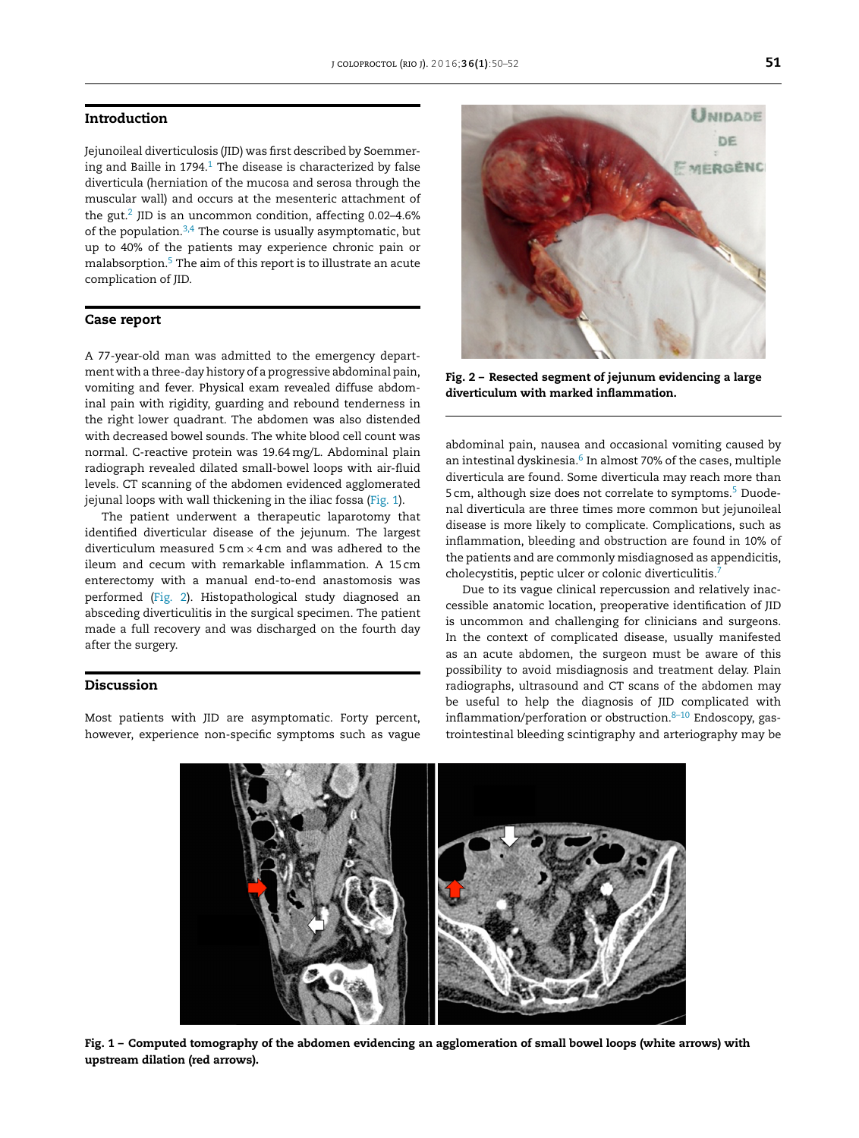#### **Introduction**

Jejunoileal diverticulosis (JID) was first described by Soemmering and Baille in  $1794<sup>1</sup>$  $1794<sup>1</sup>$  The disease is characterized by false diverticula (herniation of the mucosa and serosa through the muscular wall) and occurs at the mesenteric attachment of the gut.[2](#page-2-0) JID is an uncommon condition, affecting 0.02–4.6% of the population. $3,4$  The course is usually asymptomatic, but up to 40% of the patients may experience chronic pain or malabsorption[.5](#page-2-0) The aim of this report is to illustrate an acute complication of JID.

#### **Case report**

A 77-year-old man was admitted to the emergency department with a three-day history of a progressive abdominal pain, vomiting and fever. Physical exam revealed diffuse abdominal pain with rigidity, guarding and rebound tenderness in the right lower quadrant. The abdomen was also distended with decreased bowel sounds. The white blood cell count was normal. C-reactive protein was 19.64mg/L. Abdominal plain radiograph revealed dilated small-bowel loops with air-fluid levels. CT scanning of the abdomen evidenced agglomerated jejunal loops with wall thickening in the iliac fossa (Fig. 1).

The patient underwent a therapeutic laparotomy that identified diverticular disease of the jejunum. The largest diverticulum measured  $5 \text{ cm} \times 4 \text{ cm}$  and was adhered to the ileum and cecum with remarkable inflammation. A 15 cm enterectomy with a manual end-to-end anastomosis was performed (Fig. 2). Histopathological study diagnosed an absceding diverticulitis in the surgical specimen. The patient made a full recovery and was discharged on the fourth day after the surgery.

## **Discussion**

Most patients with JID are asymptomatic. Forty percent, however, experience non-specific symptoms such as vague



**Fig. 2 – Resected segment of jejunum evidencing a large diverticulum with marked inflammation.**

abdominal pain, nausea and occasional vomiting caused by an intestinal dyskinesia.<sup>[6](#page-2-0)</sup> In almost 70% of the cases, multiple diverticula are found. Some diverticula may reach more than 5 cm, although size does not correlate to symptoms.<sup>5</sup> Duodenal diverticula are three times more common but jejunoileal disease is more likely to complicate. Complications, such as inflammation, bleeding and obstruction are found in 10% of the patients and are commonly misdiagnosed as appendicitis, cholecystitis, peptic ulcer or colonic diverticulitis.<sup>7</sup>

Due to its vague clinical repercussion and relatively inaccessible anatomic location, preoperative identification of JID is uncommon and challenging for clinicians and surgeons. In the context of complicated disease, usually manifested as an acute abdomen, the surgeon must be aware of this possibility to avoid misdiagnosis and treatment delay. Plain radiographs, ultrasound and CT scans of the abdomen may be useful to help the diagnosis of JID complicated with inflammation/perforation or obstruction.<sup>8-10</sup> Endoscopy, gastrointestinal bleeding scintigraphy and arteriography may be



Fig. 1 - Computed tomography of the abdomen evidencing an agglomeration of small bowel loops (white arrows) with **upstream dilation (red arrows).**